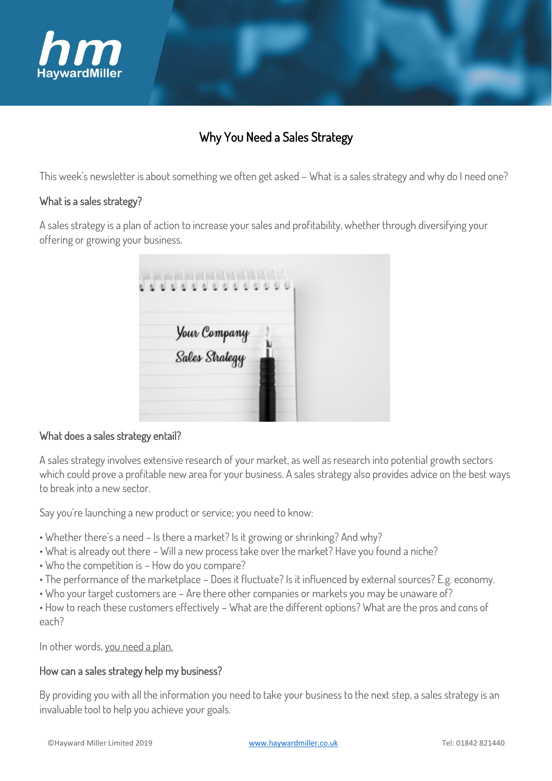

# Why You Need a Sales Strategy

This week's newsletter is about something we often get asked – What is a sales strategy and why do I need one?

## What is a sales strategy?

A sales strategy is a plan of action to increase your sales and profitability, whether through diversifying your offering or growing your business.

| all with the city of<br>0000000000 |  |
|------------------------------------|--|
| Your Company<br>Sales Strategy     |  |
|                                    |  |
|                                    |  |

#### What does a sales strategy entail?

A sales strategy involves extensive research of your market, as well as research into potential growth sectors which could prove a profitable new area for your business. A sales strategy also provides advice on the best ways to break into a new sector.

Say you're launching a new product or service; you need to know:

- Whether there's a need Is there a market? Is it growing or shrinking? And why?
- What is already out there Will a new process take over the market? Have you found a niche?
- Who the competition is How do you compare?
- The performance of the marketplace Does it fluctuate? Is it influenced by external sources? E.g. economy.
- Who your target customers are Are there other companies or markets you may be unaware of?

• How to reach these customers effectively – What are the different options? What are the pros and cons of each?

In other words, you need a plan.

#### How can a sales strategy help my business?

By providing you with all the information you need to take your business to the next step, a sales strategy is an invaluable tool to help you achieve your goals.